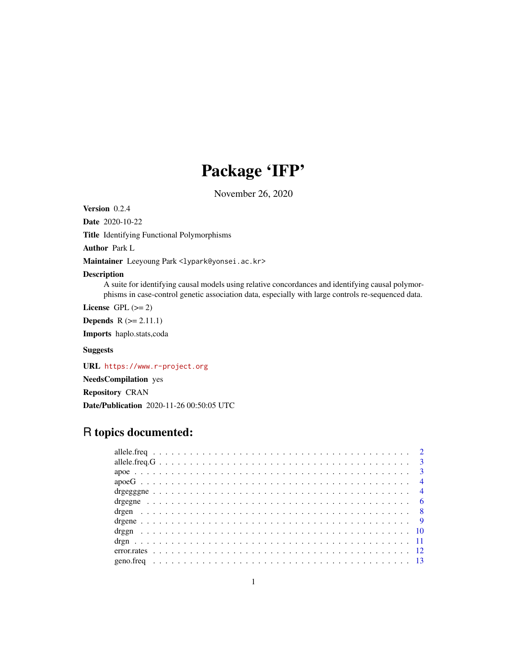## Package 'IFP'

November 26, 2020

Version 0.2.4

Date 2020-10-22

Title Identifying Functional Polymorphisms

Author Park L

Maintainer Leeyoung Park <lypark@yonsei.ac.kr>

## Description

A suite for identifying causal models using relative concordances and identifying causal polymorphisms in case-control genetic association data, especially with large controls re-sequenced data.

License GPL  $(>= 2)$ 

**Depends**  $R$  ( $>= 2.11.1$ )

Imports haplo.stats,coda

## Suggests

URL <https://www.r-project.org>

NeedsCompilation yes

Repository CRAN

Date/Publication 2020-11-26 00:50:05 UTC

## R topics documented: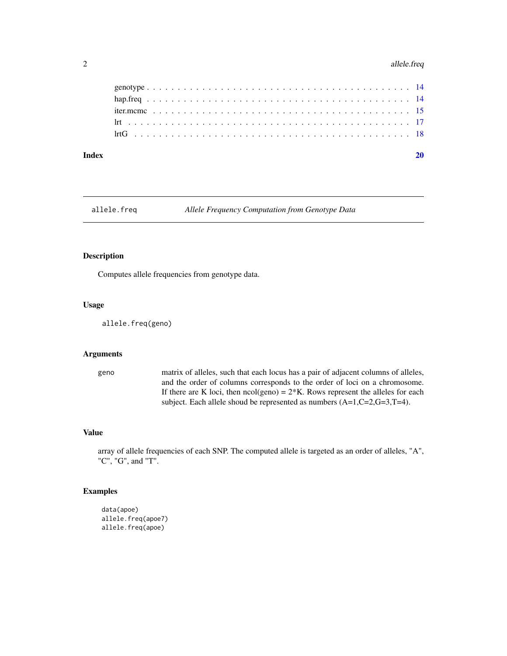## <span id="page-1-0"></span>2 allele.freq

### $\bf 1$ ndex  $\bf 20$  $\bf 20$

allele.freq *Allele Frequency Computation from Genotype Data*

## Description

Computes allele frequencies from genotype data.

## Usage

allele.freq(geno)

#### Arguments

geno matrix of alleles, such that each locus has a pair of adjacent columns of alleles, and the order of columns corresponds to the order of loci on a chromosome. If there are K loci, then  $ncol(geno) = 2*K$ . Rows represent the alleles for each subject. Each allele shoud be represented as numbers  $(A=1, C=2, G=3, T=4)$ .

## Value

array of allele frequencies of each SNP. The computed allele is targeted as an order of alleles, "A", "C", "G", and "T".

## Examples

```
data(apoe)
allele.freq(apoe7)
allele.freq(apoe)
```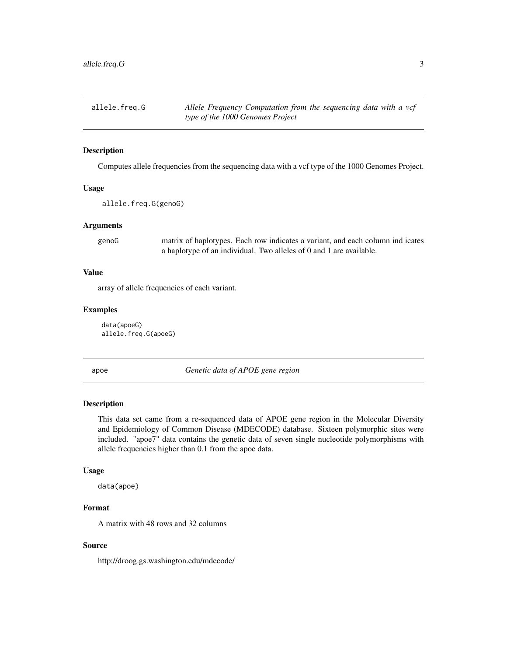<span id="page-2-0"></span>allele.freq.G *Allele Frequency Computation from the sequencing data with a vcf type of the 1000 Genomes Project*

## Description

Computes allele frequencies from the sequencing data with a vcf type of the 1000 Genomes Project.

#### Usage

allele.freq.G(genoG)

#### Arguments

genoG matrix of haplotypes. Each row indicates a variant, and each column ind icates a haplotype of an individual. Two alleles of 0 and 1 are available.

#### Value

array of allele frequencies of each variant.

#### Examples

data(apoeG) allele.freq.G(apoeG)

apoe *Genetic data of APOE gene region*

## Description

This data set came from a re-sequenced data of APOE gene region in the Molecular Diversity and Epidemiology of Common Disease (MDECODE) database. Sixteen polymorphic sites were included. "apoe7" data contains the genetic data of seven single nucleotide polymorphisms with allele frequencies higher than 0.1 from the apoe data.

#### Usage

data(apoe)

## Format

A matrix with 48 rows and 32 columns

#### Source

http://droog.gs.washington.edu/mdecode/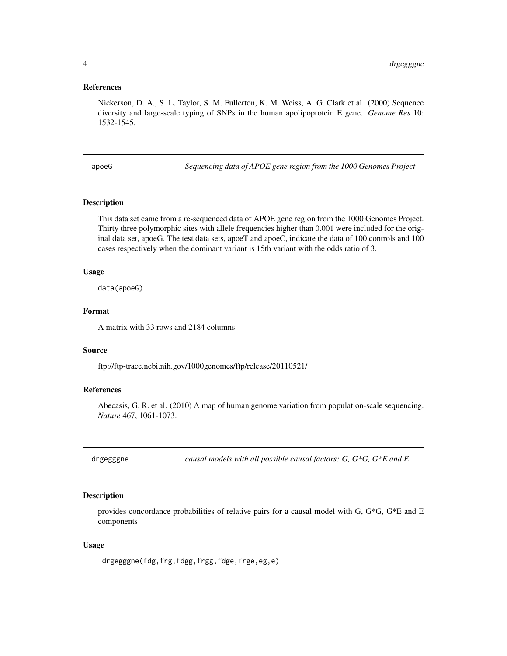#### <span id="page-3-0"></span>References

Nickerson, D. A., S. L. Taylor, S. M. Fullerton, K. M. Weiss, A. G. Clark et al. (2000) Sequence diversity and large-scale typing of SNPs in the human apolipoprotein E gene. *Genome Res* 10: 1532-1545.

apoeG *Sequencing data of APOE gene region from the 1000 Genomes Project*

#### Description

This data set came from a re-sequenced data of APOE gene region from the 1000 Genomes Project. Thirty three polymorphic sites with allele frequencies higher than 0.001 were included for the original data set, apoeG. The test data sets, apoeT and apoeC, indicate the data of 100 controls and 100 cases respectively when the dominant variant is 15th variant with the odds ratio of 3.

#### Usage

data(apoeG)

## Format

A matrix with 33 rows and 2184 columns

#### Source

ftp://ftp-trace.ncbi.nih.gov/1000genomes/ftp/release/20110521/

## References

Abecasis, G. R. et al. (2010) A map of human genome variation from population-scale sequencing. *Nature* 467, 1061-1073.

drgegggne *causal models with all possible causal factors: G, G\*G, G\*E and E*

#### Description

provides concordance probabilities of relative pairs for a causal model with G, G\*G, G\*E and E components

#### Usage

drgegggne(fdg,frg,fdgg,frgg,fdge,frge,eg,e)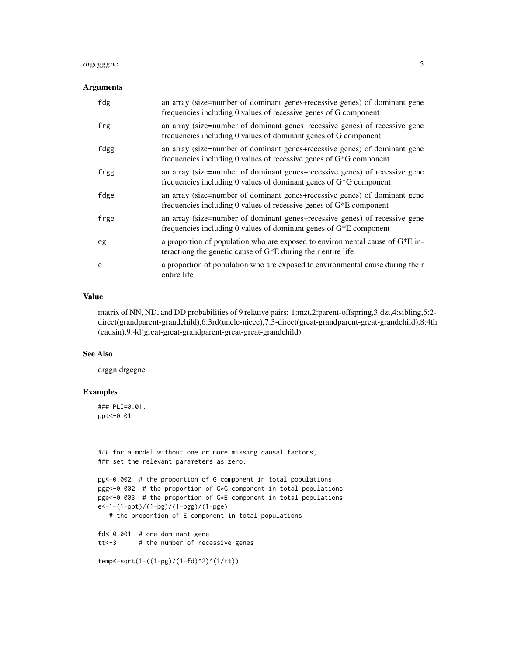## drgegggne 5

## Arguments

| fdg  | an array (size=number of dominant genes+recessive genes) of dominant gene<br>frequencies including 0 values of recessive genes of G component     |
|------|---------------------------------------------------------------------------------------------------------------------------------------------------|
| frg  | an array (size=number of dominant genes+recessive genes) of recessive gene<br>frequencies including 0 values of dominant genes of G component     |
| fdgg | an array (size=number of dominant genes+recessive genes) of dominant gene<br>frequencies including 0 values of recessive genes of $G*G$ component |
| frgg | an array (size=number of dominant genes+recessive genes) of recessive gene<br>frequencies including 0 values of dominant genes of $G*G$ component |
| fdge | an array (size=number of dominant genes+recessive genes) of dominant gene<br>frequencies including 0 values of recessive genes of G*E component   |
| frge | an array (size=number of dominant genes+recessive genes) of recessive gene<br>frequencies including 0 values of dominant genes of $G*E$ component |
| eg   | a proportion of population who are exposed to environmental cause of $G^*E$ in-<br>teractiong the genetic cause of $G*E$ during their entire life |
| e    | a proportion of population who are exposed to environmental cause during their<br>entire life                                                     |

#### Value

matrix of NN, ND, and DD probabilities of 9 relative pairs: 1:mzt,2:parent-offspring,3:dzt,4:sibling,5:2 direct(grandparent-grandchild),6:3rd(uncle-niece),7:3-direct(great-grandparent-great-grandchild),8:4th (causin),9:4d(great-great-grandparent-great-great-grandchild)

#### See Also

drggn drgegne

## Examples

### PLI=0.01. ppt<-0.01

### for a model without one or more missing causal factors, ### set the relevant parameters as zero.

pg<-0.002 # the proportion of G component in total populations pgg<-0.002 # the proportion of G\*G component in total populations pge<-0.003 # the proportion of G\*E component in total populations e<-1-(1-ppt)/(1-pg)/(1-pgg)/(1-pge)

# the proportion of E component in total populations

```
fd<-0.001 # one dominant gene
tt<-3 # the number of recessive genes
```

```
temp<-sqrt(1-((1-pg)/(1-fd)^2)^(1/tt))
```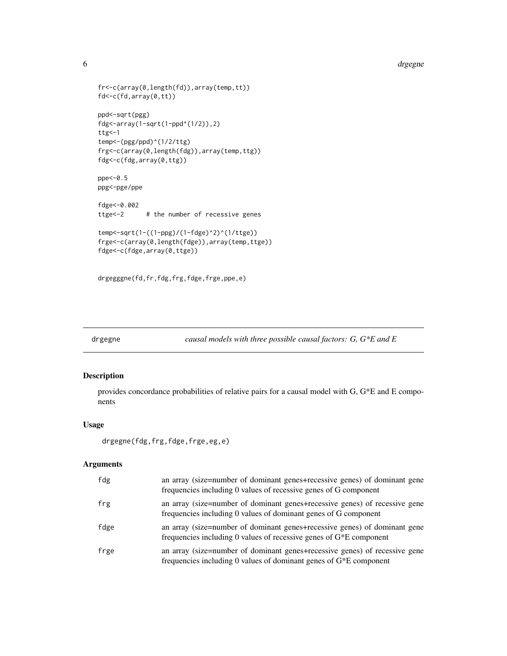```
fr<-c(array(0,length(fd)),array(temp,tt))
fd<-c(fd,array(0,tt))
ppd<-sqrt(pgg)
fdg<-array(1-sqrt(1-ppd^(1/2)),2)
ttg<-1temp<-(pgg/ppd)^(1/2/ttg)
frg<-c(array(0,length(fdg)),array(temp,ttg))
fdg<-c(fdg,array(0,ttg))
ppe<-0.5
ppg<-pge/ppe
fdge<-0.002
ttge<-2 # the number of recessive genes
temp<-sqrt(1-((1-ppg)/(1-fdge)^2)^(1/ttge))
frge<-c(array(0,length(fdge)),array(temp,ttge))
fdge<-c(fdge,array(0,ttge))
```

```
drgegggne(fd,fr,fdg,frg,fdge,frge,ppe,e)
```
drgegne *causal models with three possible causal factors: G, G\*E and E*

## Description

provides concordance probabilities of relative pairs for a causal model with G, G\*E and E components

## Usage

```
drgegne(fdg,frg,fdge,frge,eg,e)
```

| fdg  | an array (size=number of dominant genes+recessive genes) of dominant gene<br>frequencies including 0 values of recessive genes of G component     |
|------|---------------------------------------------------------------------------------------------------------------------------------------------------|
| frg  | an array (size=number of dominant genes+recessive genes) of recessive gene<br>frequencies including 0 values of dominant genes of G component     |
| fdge | an array (size=number of dominant genes+recessive genes) of dominant gene<br>frequencies including 0 values of recessive genes of $G*E$ component |
| frge | an array (size=number of dominant genes+recessive genes) of recessive gene<br>frequencies including 0 values of dominant genes of $G*E$ component |

<span id="page-5-0"></span>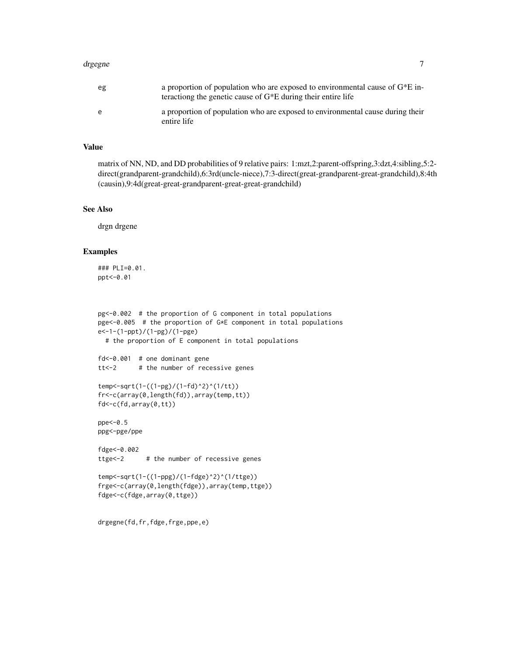#### drgegne 2008 and 2008 and 2008 and 2008 and 2008 and 2008 and 2008 and 2008 and 2008 and 2008 and 2008 and 200

## Value

matrix of NN, ND, and DD probabilities of 9 relative pairs: 1:mzt,2:parent-offspring,3:dzt,4:sibling,5:2 direct(grandparent-grandchild),6:3rd(uncle-niece),7:3-direct(great-grandparent-great-grandchild),8:4th (causin),9:4d(great-great-grandparent-great-great-grandchild)

#### See Also

drgn drgene

## Examples

```
### PLI=0.01.
ppt<-0.01
```

```
pg<-0.002 # the proportion of G component in total populations
pge<-0.005 # the proportion of G*E component in total populations
e<-1-(1-ppt)/(1-pg)/(1-pge)
 # the proportion of E component in total populations
fd<-0.001 # one dominant gene
tt<-2 # the number of recessive genes
temp<-sqrt(1-((1-pg)/(1-fd)^2)^(1/tt))
fr<-c(array(0,length(fd)),array(temp,tt))
fd<-c(fd,array(0,tt))
ppe<-0.5
ppg<-pge/ppe
```

```
fdge<-0.002
ttge<-2 # the number of recessive genes
```

```
temp<-sqrt(1-((1-ppg)/(1-fdge)^2)^(1/ttge))
frge<-c(array(0,length(fdge)),array(temp,ttge))
fdge<-c(fdge,array(0,ttge))
```
drgegne(fd,fr,fdge,frge,ppe,e)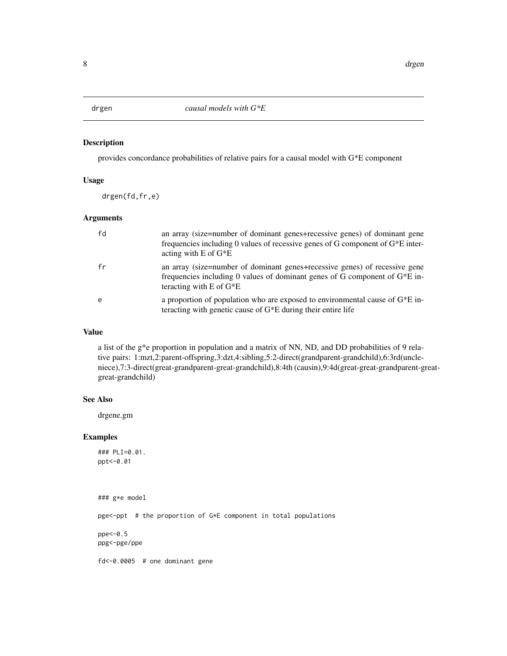<span id="page-7-0"></span>

### Description

provides concordance probabilities of relative pairs for a causal model with G\*E component

## Usage

drgen(fd,fr,e)

#### Arguments

| fd | an array (size=number of dominant genes+recessive genes) of dominant gene<br>frequencies including 0 values of recessive genes of G component of $G*E$ inter-<br>acting with $E$ of $G^*E$  |
|----|---------------------------------------------------------------------------------------------------------------------------------------------------------------------------------------------|
| fr | an array (size=number of dominant genes+recessive genes) of recessive gene<br>frequencies including 0 values of dominant genes of G component of $G^*E$ in-<br>teracting with $E$ of $G^*E$ |
| e  | a proportion of population who are exposed to environmental cause of $G^*E$ in-<br>teracting with genetic cause of $G*E$ during their entire life                                           |

#### Value

a list of the g\*e proportion in population and a matrix of NN, ND, and DD probabilities of 9 relative pairs: 1:mzt,2:parent-offspring,3:dzt,4:sibling,5:2-direct(grandparent-grandchild),6:3rd(uncleniece),7:3-direct(great-grandparent-great-grandchild),8:4th (causin),9:4d(great-great-grandparent-greatgreat-grandchild)

#### See Also

drgene.gm

## Examples

### PLI=0.01. ppt<-0.01

### g\*e model

pge<-ppt # the proportion of G\*E component in total populations

ppe<-0.5 ppg<-pge/ppe

fd<-0.0005 # one dominant gene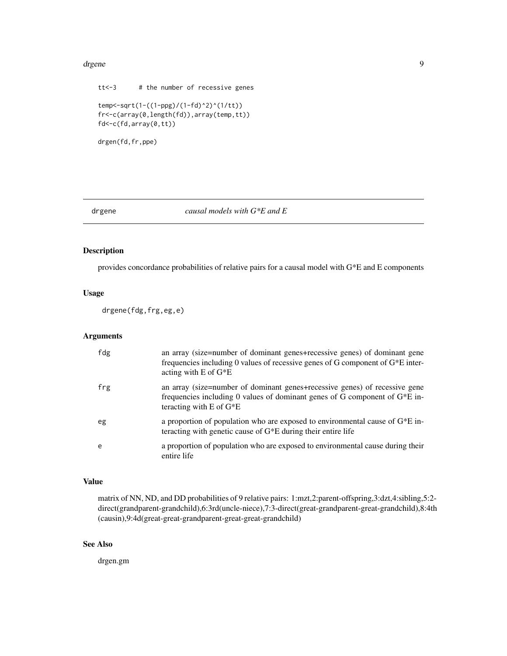#### <span id="page-8-0"></span>drgene 1996 – 1997 – 1998 – 1998 – 1998 – 1999 – 1999 – 1999 – 1999 – 1999 – 1999 – 1999 – 1999 – 1999 – 1999

```
tt<-3 # the number of recessive genes
temp<-sqrt(1-((1-ppg)/(1-fd)^2)^(1/tt))
fr<-c(array(0,length(fd)),array(temp,tt))
fd<-c(fd,array(0,tt))
```

```
drgen(fd,fr,ppe)
```
## drgene *causal models with G\*E and E*

## Description

provides concordance probabilities of relative pairs for a causal model with G\*E and E components

#### Usage

drgene(fdg,frg,eg,e)

## Arguments

| fdg | an array (size=number of dominant genes+recessive genes) of dominant gene<br>frequencies including 0 values of recessive genes of G component of $G^*E$ inter-<br>acting with $E$ of $G^*E$ |
|-----|---------------------------------------------------------------------------------------------------------------------------------------------------------------------------------------------|
| frg | an array (size=number of dominant genes+recessive genes) of recessive gene<br>frequencies including 0 values of dominant genes of G component of $G*E$ in-<br>teracting with $E$ of $G^*E$  |
| eg  | a proportion of population who are exposed to environmental cause of $G^*E$ in-<br>teracting with genetic cause of $G*E$ during their entire life                                           |
| e   | a proportion of population who are exposed to environmental cause during their<br>entire life                                                                                               |

## Value

matrix of NN, ND, and DD probabilities of 9 relative pairs: 1:mzt,2:parent-offspring,3:dzt,4:sibling,5:2 direct(grandparent-grandchild),6:3rd(uncle-niece),7:3-direct(great-grandparent-great-grandchild),8:4th (causin),9:4d(great-great-grandparent-great-great-grandchild)

## See Also

drgen.gm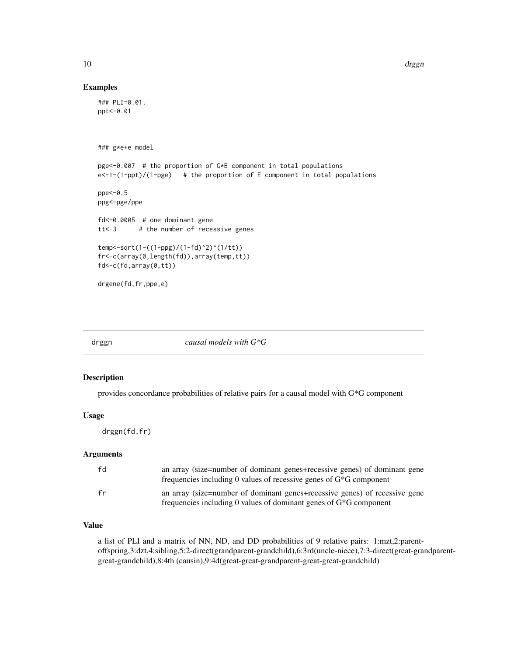## Examples

```
### PLI=0.01.
ppt<-0.01
### g*e+e model
pge<-0.007 # the proportion of G*E component in total populations
e<-1-(1-ppt)/(1-pge) # the proportion of E component in total populations
ppe<-0.5
ppg<-pge/ppe
fd<-0.0005 # one dominant gene
tt<-3 # the number of recessive genes
temp<-sqrt(1-((1-ppg)/(1-fd)^2)^(1/tt))
fr<-c(array(0,length(fd)),array(temp,tt))
fd<-c(fd,array(0,tt))
drgene(fd,fr,ppe,e)
```
drggn *causal models with G\*G*

#### Description

provides concordance probabilities of relative pairs for a causal model with G\*G component

#### Usage

drggn(fd,fr)

#### Arguments

| fd | an array (size=number of dominant genes+recessive genes) of dominant gene<br>frequencies including 0 values of recessive genes of $G*G$ component |
|----|---------------------------------------------------------------------------------------------------------------------------------------------------|
| fr | an array (size=number of dominant genes+recessive genes) of recessive gene<br>frequencies including 0 values of dominant genes of $G*G$ component |

## Value

a list of PLI and a matrix of NN, ND, and DD probabilities of 9 relative pairs: 1:mzt,2:parentoffspring,3:dzt,4:sibling,5:2-direct(grandparent-grandchild),6:3rd(uncle-niece),7:3-direct(great-grandparentgreat-grandchild),8:4th (causin),9:4d(great-great-grandparent-great-great-grandchild)

<span id="page-9-0"></span>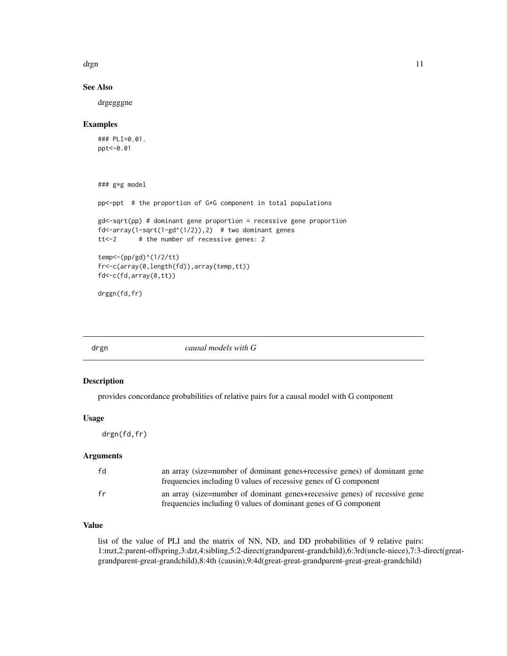<span id="page-10-0"></span>drgn the contract of the contract of the contract of the contract of the contract of the contract of the contract of the contract of the contract of the contract of the contract of the contract of the contract of the contr

## See Also

drgegggne

#### Examples

### PLI=0.01. ppt<-0.01

```
### g*g model
```
pp<-ppt # the proportion of G\*G component in total populations

gd<-sqrt(pp) # dominant gene proportion = recessive gene proportion  $fd < -array(1-sqrt(1-gd(1/2)),2)$  # two dominant genes tt<-2 # the number of recessive genes: 2

```
temp<-(pp/gd)^(1/2/tt)
fr<-c(array(0,length(fd)),array(temp,tt))
fd<-c(fd,array(0,tt))
```
drggn(fd,fr)

drgn *causal models with G*

#### Description

provides concordance probabilities of relative pairs for a causal model with G component

#### Usage

drgn(fd,fr)

## Arguments

| fd | an array (size=number of dominant genes+recessive genes) of dominant gene<br>frequencies including 0 values of recessive genes of G component |
|----|-----------------------------------------------------------------------------------------------------------------------------------------------|
| fr | an array (size=number of dominant genes+recessive genes) of recessive gene<br>frequencies including 0 values of dominant genes of G component |

## Value

list of the value of PLI and the matrix of NN, ND, and DD probabilities of 9 relative pairs: 1:mzt,2:parent-offspring,3:dzt,4:sibling,5:2-direct(grandparent-grandchild),6:3rd(uncle-niece),7:3-direct(greatgrandparent-great-grandchild),8:4th (causin),9:4d(great-great-grandparent-great-great-grandchild)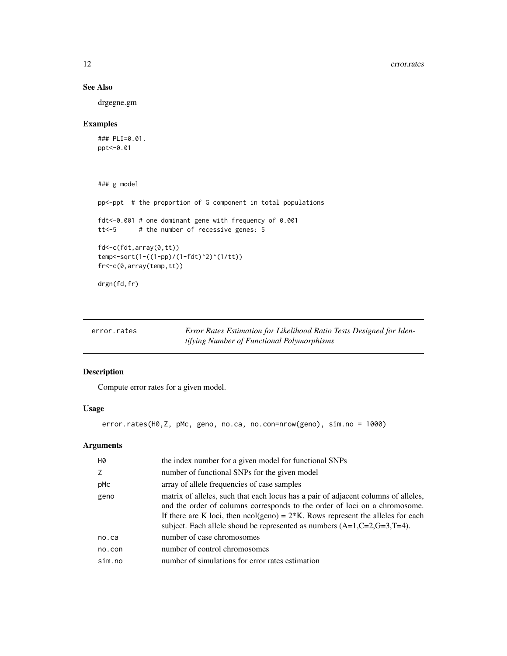## See Also

drgegne.gm

## Examples

```
### PLI=0.01.
ppt<-0.01
```

```
### g model
pp<-ppt # the proportion of G component in total populations
fdt<-0.001 # one dominant gene with frequency of 0.001
tt<-5 # the number of recessive genes: 5
fd<-c(fdt,array(0,tt))
temp<-sqrt(1-((1-pp)/(1-fdt)^2)^(1/tt))
fr<-c(0,array(temp,tt))
drgn(fd,fr)
```

| error.rates | Error Rates Estimation for Likelihood Ratio Tests Designed for Iden- |
|-------------|----------------------------------------------------------------------|
|             | tifying Number of Functional Polymorphisms                           |

## Description

Compute error rates for a given model.

## Usage

error.rates(H0,Z, pMc, geno, no.ca, no.con=nrow(geno), sim.no = 1000)

| H0     | the index number for a given model for functional SNPs                                                                                                                                                                                                                                                                                  |
|--------|-----------------------------------------------------------------------------------------------------------------------------------------------------------------------------------------------------------------------------------------------------------------------------------------------------------------------------------------|
| Z      | number of functional SNPs for the given model                                                                                                                                                                                                                                                                                           |
| pMc    | array of allele frequencies of case samples                                                                                                                                                                                                                                                                                             |
| geno   | matrix of alleles, such that each locus has a pair of adjacent columns of alleles,<br>and the order of columns corresponds to the order of loci on a chromosome.<br>If there are K loci, then $ncol(geno) = 2*K$ . Rows represent the alleles for each<br>subject. Each allele shoud be represented as numbers $(A=1, C=2, G=3, T=4)$ . |
| no.ca  | number of case chromosomes                                                                                                                                                                                                                                                                                                              |
| no.con | number of control chromosomes                                                                                                                                                                                                                                                                                                           |
| sim.no | number of simulations for error rates estimation                                                                                                                                                                                                                                                                                        |

<span id="page-11-0"></span>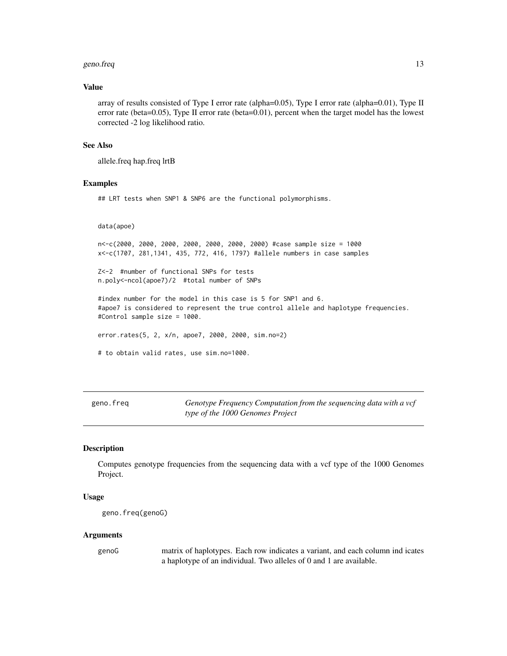#### <span id="page-12-0"></span>geno.freq 23 and 23 and 23 and 23 and 23 and 23 and 23 and 23 and 23 and 23 and 23 and 23 and 23 and 23 and 23 and 23 and 23 and 23 and 23 and 23 and 23 and 23 and 23 and 23 and 23 and 23 and 23 and 23 and 23 and 23 and 23

#### Value

array of results consisted of Type I error rate (alpha=0.05), Type I error rate (alpha=0.01), Type II error rate (beta=0.05), Type II error rate (beta=0.01), percent when the target model has the lowest corrected -2 log likelihood ratio.

## See Also

allele.freq hap.freq lrtB

#### Examples

## LRT tests when SNP1 & SNP6 are the functional polymorphisms.

data(apoe)

n<-c(2000, 2000, 2000, 2000, 2000, 2000, 2000) #case sample size = 1000 x<-c(1707, 281,1341, 435, 772, 416, 1797) #allele numbers in case samples

Z<-2 #number of functional SNPs for tests n.poly<-ncol(apoe7)/2 #total number of SNPs

#index number for the model in this case is 5 for SNP1 and 6. #apoe7 is considered to represent the true control allele and haplotype frequencies. #Control sample size = 1000.

error.rates(5, 2, x/n, apoe7, 2000, 2000, sim.no=2)

```
# to obtain valid rates, use sim.no=1000.
```
geno.freq *Genotype Frequency Computation from the sequencing data with a vcf type of the 1000 Genomes Project*

#### Description

Computes genotype frequencies from the sequencing data with a vcf type of the 1000 Genomes Project.

#### Usage

```
geno.freq(genoG)
```
#### Arguments

genoG matrix of haplotypes. Each row indicates a variant, and each column ind icates a haplotype of an individual. Two alleles of 0 and 1 are available.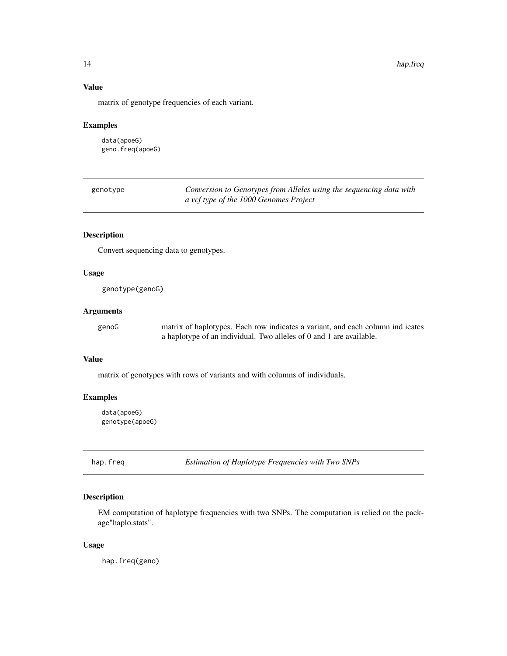## <span id="page-13-0"></span>Value

matrix of genotype frequencies of each variant.

## Examples

data(apoeG) geno.freq(apoeG)

| genotype | Conversion to Genotypes from Alleles using the sequencing data with |
|----------|---------------------------------------------------------------------|
|          | a vcf type of the 1000 Genomes Project                              |

## Description

Convert sequencing data to genotypes.

## Usage

genotype(genoG)

#### Arguments

genoG matrix of haplotypes. Each row indicates a variant, and each column ind icates a haplotype of an individual. Two alleles of 0 and 1 are available.

#### Value

matrix of genotypes with rows of variants and with columns of individuals.

## Examples

data(apoeG) genotype(apoeG)

hap.freq *Estimation of Haplotype Frequencies with Two SNPs*

## Description

EM computation of haplotype frequencies with two SNPs. The computation is relied on the package"haplo.stats".

#### Usage

hap.freq(geno)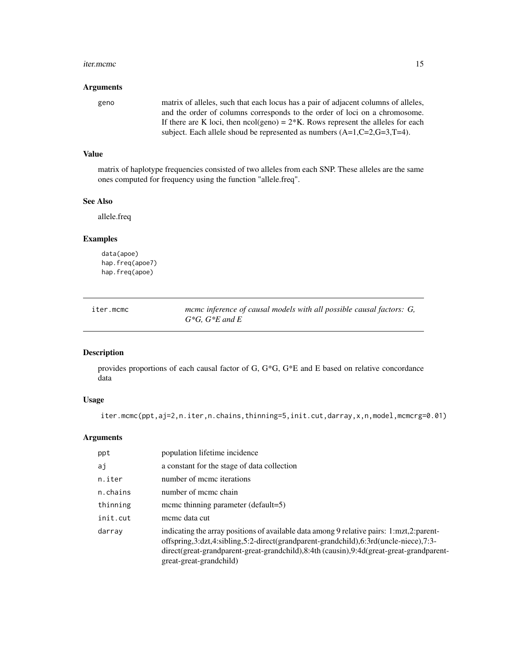#### <span id="page-14-0"></span>iter.mcmc 15

#### Arguments

geno matrix of alleles, such that each locus has a pair of adjacent columns of alleles, and the order of columns corresponds to the order of loci on a chromosome. If there are K loci, then  $ncol(geno) = 2*K$ . Rows represent the alleles for each subject. Each allele shoud be represented as numbers (A=1,C=2,G=3,T=4).

## Value

matrix of haplotype frequencies consisted of two alleles from each SNP. These alleles are the same ones computed for frequency using the function "allele.freq".

## See Also

allele.freq

## Examples

data(apoe) hap.freq(apoe7) hap.freq(apoe)

| iter.mcmc | mcmc inference of causal models with all possible causal factors: G, |
|-----------|----------------------------------------------------------------------|
|           | $G*G$ . $G*E$ and E                                                  |

## Description

provides proportions of each causal factor of G, G\*G, G\*E and E based on relative concordance data

#### Usage

iter.mcmc(ppt,aj=2,n.iter,n.chains,thinning=5,init.cut,darray,x,n,model,mcmcrg=0.01)

| ppt      | population lifetime incidence                                                                                                                                                                                                                                                                          |
|----------|--------------------------------------------------------------------------------------------------------------------------------------------------------------------------------------------------------------------------------------------------------------------------------------------------------|
| aj       | a constant for the stage of data collection                                                                                                                                                                                                                                                            |
| n.iter   | number of meme iterations                                                                                                                                                                                                                                                                              |
| n.chains | number of meme chain                                                                                                                                                                                                                                                                                   |
| thinning | mcmc thinning parameter (default=5)                                                                                                                                                                                                                                                                    |
| init.cut | meme data cut                                                                                                                                                                                                                                                                                          |
| darray   | indicating the array positions of available data among 9 relative pairs: 1:mzt,2:parent-<br>offspring,3:dzt,4:sibling,5:2-direct(grandparent-grandchild),6:3rd(uncle-niece),7:3-<br>direct(great-grandparent-great-grandchild),8:4th (causin),9:4d(great-great-grandparent-<br>great-great-grandchild) |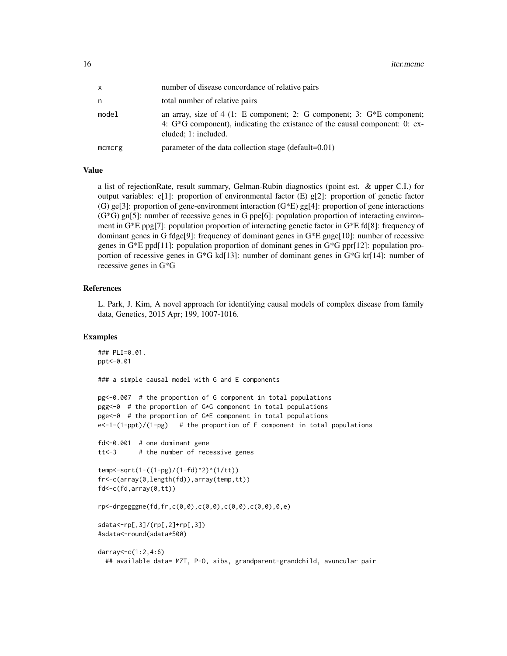| x      | number of disease concordance of relative pairs                                                                                                                                    |
|--------|------------------------------------------------------------------------------------------------------------------------------------------------------------------------------------|
| n      | total number of relative pairs                                                                                                                                                     |
| model  | an array, size of 4 (1: E component; 2: G component; 3: $G*E$ component;<br>4: $G^*G$ component), indicating the existance of the causal component: 0: ex-<br>cluded; 1: included. |
| mcmcrg | parameter of the data collection stage (default=0.01)                                                                                                                              |

#### Value

a list of rejectionRate, result summary, Gelman-Rubin diagnostics (point est. & upper C.I.) for output variables: e[1]: proportion of environmental factor (E) g[2]: proportion of genetic factor (G) ge[3]: proportion of gene-environment interaction (G\*E) gg[4]: proportion of gene interactions  $(G^*G)$  gn[5]: number of recessive genes in G ppe[6]: population proportion of interacting environment in G\*E ppg[7]: population proportion of interacting genetic factor in G\*E fd[8]: frequency of dominant genes in G fdge[9]: frequency of dominant genes in G\*E gnge[10]: number of recessive genes in G\*E ppd[11]: population proportion of dominant genes in G\*G ppr[12]: population proportion of recessive genes in G\*G kd[13]: number of dominant genes in G\*G kr[14]: number of recessive genes in G\*G

#### References

L. Park, J. Kim, A novel approach for identifying causal models of complex disease from family data, Genetics, 2015 Apr; 199, 1007-1016.

#### Examples

```
### PLI=0.01.
ppt<-0.01
### a simple causal model with G and E components
pg<-0.007 # the proportion of G component in total populations
pgg<-0 # the proportion of G*G component in total populations
pge<-0 # the proportion of G*E component in total populations
e<-1-(1-ppt)/(1-pg) # the proportion of E component in total populations
fd<-0.001 # one dominant gene
tt<-3 # the number of recessive genes
temp<-sqrt(1-((1-pg)/(1-fd)^2)^(1/tt))
fr<-c(array(0,length(fd)),array(temp,tt))
fd<-c(fd,array(0,tt))
rp<-drgegggne(fd,fr,c(0,0),c(0,0),c(0,0),c(0,0),0,e)
sdata<-rp[,3]/(rp[,2]+rp[,3])
#sdata<-round(sdata*500)
darray<-c(1:2,4:6)
 ## available data= MZT, P-O, sibs, grandparent-grandchild, avuncular pair
```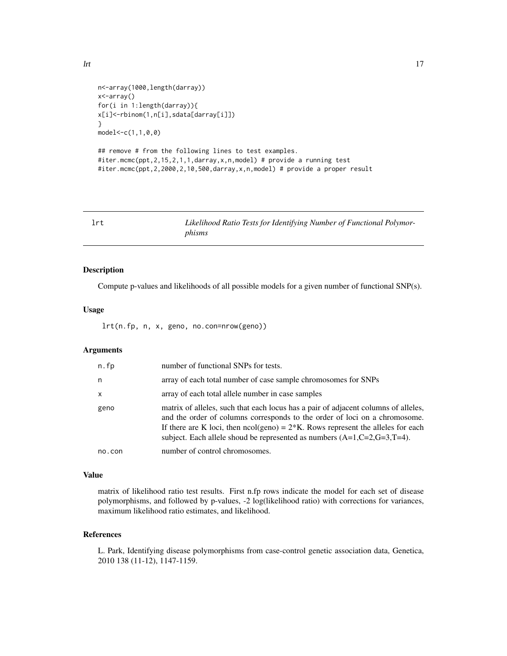```
n<-array(1000,length(darray))
x<-array()
for(i in 1:length(darray)){
x[i]<-rbinom(1,n[i],sdata[darray[i]])
}
model<-c(1,1,0,0)
```

```
## remove # from the following lines to test examples.
#iter.mcmc(ppt,2,15,2,1,1,darray,x,n,model) # provide a running test
#iter.mcmc(ppt,2,2000,2,10,500,darray,x,n,model) # provide a proper result
```
Likelihood Ratio Tests for Identifying Number of Functional Polymor*phisms*

#### Description

Compute p-values and likelihoods of all possible models for a given number of functional SNP(s).

#### Usage

lrt(n.fp, n, x, geno, no.con=nrow(geno))

#### Arguments

| n.fp   | number of functional SNPs for tests.                                                                                                                                                                                                                                                                                                    |
|--------|-----------------------------------------------------------------------------------------------------------------------------------------------------------------------------------------------------------------------------------------------------------------------------------------------------------------------------------------|
| n      | array of each total number of case sample chromosomes for SNPs                                                                                                                                                                                                                                                                          |
| X      | array of each total allele number in case samples                                                                                                                                                                                                                                                                                       |
| geno   | matrix of alleles, such that each locus has a pair of adjacent columns of alleles,<br>and the order of columns corresponds to the order of loci on a chromosome.<br>If there are K loci, then $ncol(geno) = 2*K$ . Rows represent the alleles for each<br>subject. Each allele shoud be represented as numbers $(A=1, C=2, G=3, T=4)$ . |
| no.con | number of control chromosomes.                                                                                                                                                                                                                                                                                                          |

#### Value

matrix of likelihood ratio test results. First n.fp rows indicate the model for each set of disease polymorphisms, and followed by p-values, -2 log(likelihood ratio) with corrections for variances, maximum likelihood ratio estimates, and likelihood.

## References

L. Park, Identifying disease polymorphisms from case-control genetic association data, Genetica, 2010 138 (11-12), 1147-1159.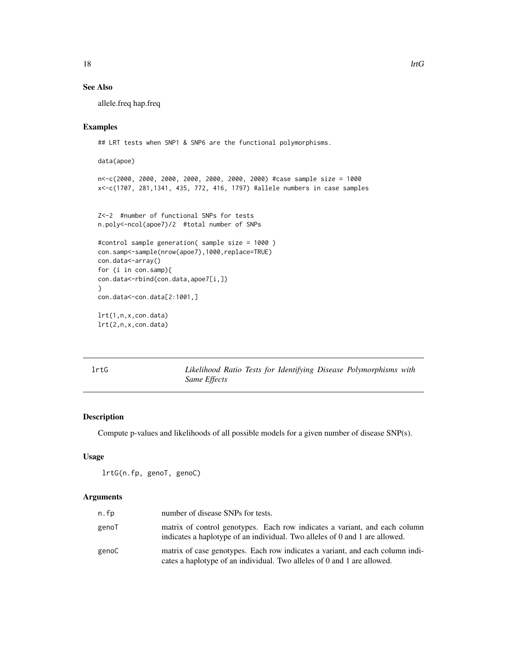## See Also

allele.freq hap.freq

## Examples

## LRT tests when SNP1 & SNP6 are the functional polymorphisms.

```
data(apoe)
n<-c(2000, 2000, 2000, 2000, 2000, 2000, 2000) #case sample size = 1000
x<-c(1707, 281,1341, 435, 772, 416, 1797) #allele numbers in case samples
Z<-2 #number of functional SNPs for tests
n.poly<-ncol(apoe7)/2 #total number of SNPs
#control sample generation( sample size = 1000 )
con.samp<-sample(nrow(apoe7),1000,replace=TRUE)
con.data<-array()
for (i in con.samp){
con.data<-rbind(con.data,apoe7[i,])
}
```
con.data<-con.data[2:1001,]

lrt(1,n,x,con.data) lrt(2,n,x,con.data)

lrtG *Likelihood Ratio Tests for Identifying Disease Polymorphisms with Same Effects*

## Description

Compute p-values and likelihoods of all possible models for a given number of disease SNP(s).

#### Usage

```
lrtG(n.fp, genoT, genoC)
```

| n.fp  | number of disease SNPs for tests.                                                                                                                         |
|-------|-----------------------------------------------------------------------------------------------------------------------------------------------------------|
| genoT | matrix of control genotypes. Each row indicates a variant, and each column<br>indicates a haplotype of an individual. Two alleles of 0 and 1 are allowed. |
| genoC | matrix of case genotypes. Each row indicates a variant, and each column indi-<br>cates a haplotype of an individual. Two alleles of 0 and 1 are allowed.  |

<span id="page-17-0"></span>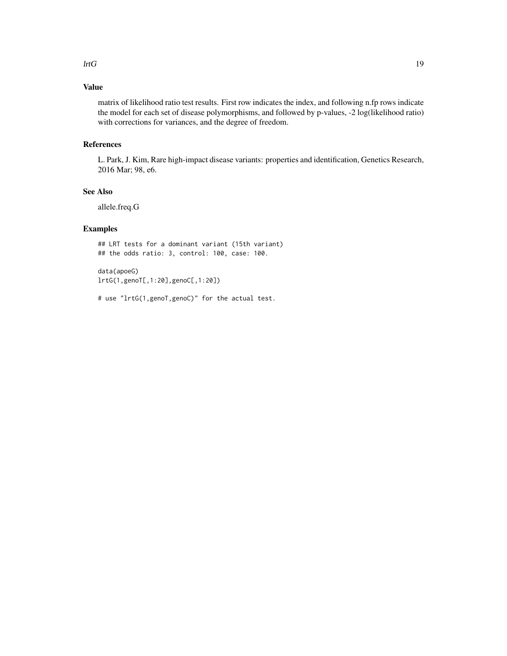#### $l$ rtG  $l$

## Value

matrix of likelihood ratio test results. First row indicates the index, and following n.fp rows indicate the model for each set of disease polymorphisms, and followed by p-values, -2 log(likelihood ratio) with corrections for variances, and the degree of freedom.

#### References

L. Park, J. Kim, Rare high-impact disease variants: properties and identification, Genetics Research, 2016 Mar; 98, e6.

## See Also

allele.freq.G

## Examples

## LRT tests for a dominant variant (15th variant) ## the odds ratio: 3, control: 100, case: 100.

data(apoeG) lrtG(1,genoT[,1:20],genoC[,1:20])

# use "lrtG(1,genoT,genoC)" for the actual test.